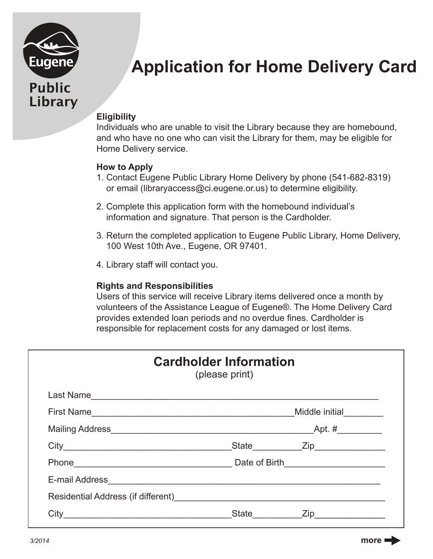

# **Application for Home Delivery Card**

## **Eligibility**

Individuals who are unable to visit the Library because they are homebound, and who have no one who can visit the Library for them, may be eligible for Home Delivery service.

#### **How to Apply**

- 1. Contact Eugene Public Library Home Delivery by phone (541-682-8319) or email (libraryaccess@ci.eugene.or.us) to determine eligibility.
- 2. Complete this application form with the homebound individual's information and signature. That person is the Cardholder.
- 3. Return the completed application to Eugene Public Library, Home Delivery, 100 West 10th Ave., Eugene, OR 97401.
- 4. Library staff will contact you.

#### **Rights and Responsibilities**

Users of this service will receive Library items delivered once a month by volunteers of the Assistance League of Eugene®. The Home Delivery Card provides extended loan periods and no overdue fines. Cardholder is responsible for replacement costs for any damaged or lost items.

| <b>Cardholder Information</b><br>(please print)                                                                                                                                                                                        |       |                        |
|----------------------------------------------------------------------------------------------------------------------------------------------------------------------------------------------------------------------------------------|-------|------------------------|
|                                                                                                                                                                                                                                        |       |                        |
| First Name                                                                                                                                                                                                                             |       | Middle initial _______ |
|                                                                                                                                                                                                                                        |       |                        |
|                                                                                                                                                                                                                                        |       | State <b>Zip</b> Zip   |
|                                                                                                                                                                                                                                        |       |                        |
| E-mail Address <b>Contract Contract Contract Contract Contract Contract Contract Contract Contract Contract Contract Contract Contract Contract Contract Contract Contract Contract Contract Contract Contract Contract Contract</b>   |       |                        |
| Residential Address (if different)<br><u> Letter Letter Letter Letter Letter Letter Letter Letter Letter Letter Letter Letter Letter Letter Letter Letter Letter Letter Letter Letter Letter Letter Letter Letter Letter Letter Le</u> |       |                        |
|                                                                                                                                                                                                                                        | State | $\mathsf{Zip}$         |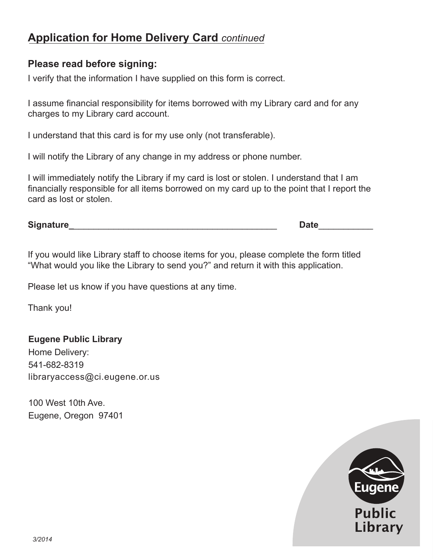# **Application for Home Delivery Card** *continued*

### **Please read before signing:**

I verify that the information I have supplied on this form is correct.

I assume financial responsibility for items borrowed with my Library card and for any charges to my Library card account.

I understand that this card is for my use only (not transferable).

I will notify the Library of any change in my address or phone number.

I will immediately notify the Library if my card is lost or stolen. I understand that I am financially responsible for all items borrowed on my card up to the point that I report the card as lost or stolen.

**Signature\_**\_\_\_\_\_\_\_\_\_\_\_\_\_\_\_\_\_\_\_\_\_\_\_\_\_\_\_\_\_\_\_\_\_\_\_\_\_\_\_\_\_ **Date**\_\_\_\_\_\_\_\_\_\_\_

If you would like Library staff to choose items for you, please complete the form titled "What would you like the Library to send you?" and return it with this application.

Please let us know if you have questions at any time.

Thank you!

#### **Eugene Public Library**

Home Delivery: 541-682-8319 libraryaccess@ci.eugene.or.us

100 West 10th Ave. Eugene, Oregon 97401

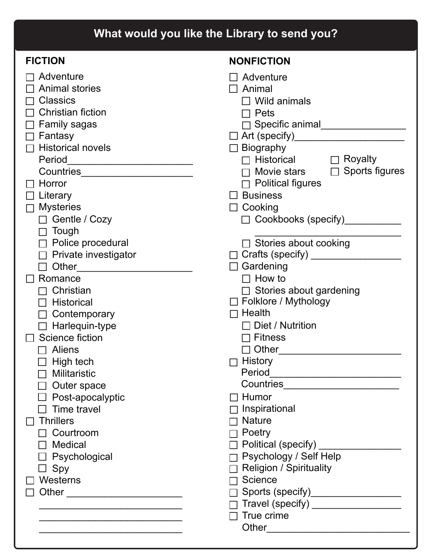| What would you like the Library to send you?                                                                                                                                                                                                                                                                                                                                                                                                                                                                                                                                                                                                                                                               |                                                                                                                                                                                                                                                                                                                                                                                                                                                                                                                                                                                                                                                                                                                                                                                                                                                                                        |  |
|------------------------------------------------------------------------------------------------------------------------------------------------------------------------------------------------------------------------------------------------------------------------------------------------------------------------------------------------------------------------------------------------------------------------------------------------------------------------------------------------------------------------------------------------------------------------------------------------------------------------------------------------------------------------------------------------------------|----------------------------------------------------------------------------------------------------------------------------------------------------------------------------------------------------------------------------------------------------------------------------------------------------------------------------------------------------------------------------------------------------------------------------------------------------------------------------------------------------------------------------------------------------------------------------------------------------------------------------------------------------------------------------------------------------------------------------------------------------------------------------------------------------------------------------------------------------------------------------------------|--|
| <b>FICTION</b>                                                                                                                                                                                                                                                                                                                                                                                                                                                                                                                                                                                                                                                                                             | <b>NONFICTION</b>                                                                                                                                                                                                                                                                                                                                                                                                                                                                                                                                                                                                                                                                                                                                                                                                                                                                      |  |
| Adventure<br><b>Animal stories</b><br><b>Classics</b><br><b>Christian fiction</b><br><b>Family sagas</b><br>Fantasy<br><b>Historical novels</b><br>Period<br>Countries_________________________<br>Horror<br>$\Box$ Literary<br><b>Mysteries</b><br>$\Box$<br>$\Box$ Gentle / Cozy<br>Tough<br>$\Box$<br>$\Box$ Police procedural<br>Private investigator<br>П<br>$\Box$ Other<br>Romance<br>Christian<br>Historical<br>Contemporary<br>$\Box$ Harlequin-type<br>Science fiction<br><b>Aliens</b><br>High tech<br><b>Militaristic</b><br>Outer space<br>$\Box$ Post-apocalyptic<br>Time travel<br><b>Thrillers</b><br>$\Box$ Courtroom<br>$\Box$ Medical<br>$\Box$ Psychological<br>$\Box$ Spy<br>Westerns | $\Box$ Adventure<br>$\Box$ Animal<br>$\Box$ Wild animals<br>Pets<br>□ Specific animal___________________<br>$\Box$ Biography<br>$\Box$ Historical $\Box$ Royalty<br>Movie stars $\Box$ Sports figures<br><b>Political figures</b><br>$\Box$ Business<br>$\Box$ Cooking<br>Cookbooks (specify)__________<br>$\Box$ Stories about cooking<br>□ Crafts (specify) __________________<br>$\Box$ Gardening<br>$\Box$ How to<br>$\Box$ Stories about gardening<br>$\Box$ Folklore / Mythology<br>$\Box$ Health<br>$\Box$ Diet / Nutrition<br><b>Fitness</b><br>$\Box$<br>$\Box$ Other and $\Box$ Other and $\Box$<br>$\Box$ History<br>$\Box$ Humor<br>Inspirational<br>$\neg$ Nature<br>$\Box$ Poetry<br>□ Political (specify) ________<br>Psychology / Self Help<br><b>Religion / Spirituality</b><br>Science<br>Sports (specify)___________________<br>Travel (specify) __________________ |  |
|                                                                                                                                                                                                                                                                                                                                                                                                                                                                                                                                                                                                                                                                                                            | True crime                                                                                                                                                                                                                                                                                                                                                                                                                                                                                                                                                                                                                                                                                                                                                                                                                                                                             |  |